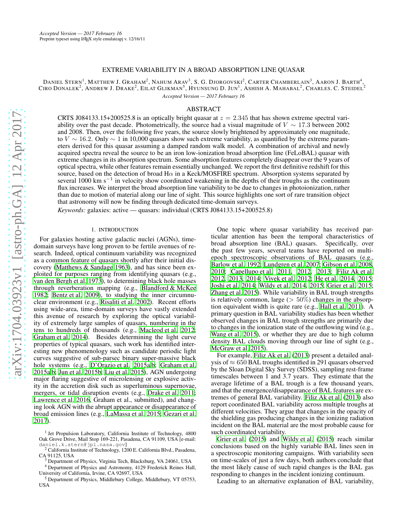## EXTREME VARIABILITY IN A BROAD ABSORPTION LINE QUASAR

DANIEL STERN<sup>1</sup>, MATTHEW J. GRAHAM<sup>2</sup>, NAHUM ARAV<sup>3</sup>, S. G. DJORGOVSKI<sup>2</sup>, CARTER CHAMBERLAIN<sup>3</sup>, AARON J. BARTH<sup>4</sup>, CIRO DONALEK<sup>2</sup>, ANDREW J. DRAKE<sup>2</sup>, EILAT GLIKMAN<sup>5</sup>, HYUNSUNG D. JUN<sup>1</sup>, ASHISH A. MAHABAL<sup>2</sup>, CHARLES. C. STEIDEL<sup>2</sup> *Accepted Version — 2017 February 16*

# ABSTRACT

CRTS J084133.15+200525.8 is an optically bright quasar at  $z = 2.345$  that has shown extreme spectral variability over the past decade. Photometrically, the source had a visual magnitude of  $V \sim 17.3$  between 2002 and 2008. Then, over the following five years, the source slowly brightened by approximately one magnitude, to  $V \sim 16.2$ . Only  $\sim 1$  in 10,000 quasars show such extreme variability, as quantified by the extreme parameters derived for this quasar assuming a damped random walk model. A combination of archival and newly acquired spectra reveal the source to be an iron low-ionization broad absorption line (FeLoBAL) quasar with extreme changes in its absorption spectrum. Some absorption features completely disappear over the 9 years of optical spectra, while other features remain essentially unchanged. We report the first definitive redshift for this source, based on the detection of broad  $H\alpha$  in a Keck/MOSFIRE spectrum. Absorption systems separated by several 1000 km s<sup>−1</sup> in velocity show coordinated weakening in the depths of their troughs as the continuum flux increases. We interpret the broad absorption line variability to be due to changes in photoionization, rather than due to motion of material along our line of sight. This source highlights one sort of rare transition object that astronomy will now be finding through dedicated time-domain surveys.

*Keywords:* galaxies: active — quasars: individual (CRTS J084133.15+200525.8)

#### 1. INTRODUCTION

For galaxies hosting active galactic nuclei (AGNs), timedomain surveys have long proven to be fertile avenues of research. Indeed, optical continuum variability was recognized as a common feature of quasars shortly after their initial discovery [\(Matthews & Sandage 1963\)](#page-4-0), and has since been exploited for purposes ranging from identifying quasars (e.g., [van den Bergh et al. 1973\)](#page-5-0), to determining black hole masses through reverberation mapping (e.g., [Blandford & McKee](#page-4-1) [1982;](#page-4-1) [Bentz et al. 2009\)](#page-4-2), to studying the inner circumnuclear environment (e.g., [Risaliti et al. 2002\)](#page-5-1). Recent efforts using wide-area, time-domain surveys have vastly extended this avenue of research by exploring the optical variability of extremely large samples of quasars, numbering in the tens to hundreds of thousands (e.g., [Macleod et al. 2012;](#page-4-3) [Graham et al. 2014](#page-4-4)). Besides determining the light curve properties of typical quasars, such work has identified interesting new phenomenology such as candidate periodic light curves suggestive of sub-parsec binary super-massive black hole systems (e.g., [D'Orazio et al. 2015a](#page-4-5)[,b;](#page-4-6) [Graham et al.](#page-4-7) [2015a](#page-4-7)[,b;](#page-4-8) [Jun et al. 2015b](#page-4-9); [Liu et al. 2015\)](#page-4-10), AGN undergoing major flaring suggestive of microlensing or explosive activity in the accretion disk such as superluminous supernovae, mergers, or tidal disruption events (e.g., [Drake et al. 2011;](#page-4-11) [Lawrence et al. 2016,](#page-4-12) Graham et al., submitted), and changing look AGN with the abrupt appearance or disappearance of broad emission lines (e.g., [LaMassa et al. 2015;](#page-4-13) [Gezari et al.](#page-4-14) [2017\)](#page-4-14).

<sup>4</sup> Department of Physics and Astronomy, 4129 Frederick Reines Hall, University of California, Irvine, CA 92697, USA

One topic where quasar variability has received particular attention has been the temporal characteristics of broad absorption line (BAL) quasars. Specifically, over the past few years, several teams have reported on multiepoch spectroscopic observations of BAL quasars (e.g., [Barlow et al. 1992;](#page-4-15) [Lundgren et al. 2007;](#page-4-16) [Gibson et al. 2008,](#page-4-17) [2010;](#page-4-18) [Capellupo et al. 2011,](#page-4-19) [2012,](#page-4-20) [2013](#page-4-21); [Filiz Ak et al.](#page-4-22) [2012,](#page-4-22) [2013](#page-4-23), [2014;](#page-4-24) [Vivek et al. 2012;](#page-5-2) [He et al. 2014,](#page-4-25) [2015](#page-4-26); [Joshi et al. 2014;](#page-4-27) [Wildy et al. 2014](#page-5-3), [2015](#page-5-4); [Grier et al. 2015](#page-4-28); [Zhang et al. 2015](#page-5-5)). While variability in BAL trough strengths is relatively common, large ( $> 50\%$ ) changes in the absorption equivalent width is quite rare (e.g., [Hall et al. 2011\)](#page-4-29). A primary question in BAL variability studies has been whether observed changes in BAL trough strengths are primarily due to changes in the ionization state of the outflowing wind (e.g., [Wang et al. 2015](#page-5-6)), or whether they are due to high column density BAL clouds moving through our line of sight (e.g., [McGraw et al. 2015](#page-5-7)).

For example, [Filiz Ak et al. \(2013\)](#page-4-23) present a detailed analysis of  $\approx 650$  BAL troughs identified in 291 quasars observed by the Sloan Digital Sky Survey (SDSS), sampling rest-frame timescales between 1 and 3.7 years. They estimate that the average lifetime of a BAL trough is a few thousand years, and that the emergence/disappearance of BAL features are extremes of general BAL variability. [Filiz Ak et al. \(2013\)](#page-4-23) also report coordinated BAL variability across multiple troughs at different velocities. They argue that changes in the opacity of the shielding gas producing changes in the ionizing radiation incident on the BAL material are the most probable cause for such coordinated variability.

[Grier et al.](#page-4-28) [\(2015\)](#page-4-28) and [Wildy et al.](#page-5-4) [\(2015\)](#page-5-4) reach similar conclusions based on the highly variable BAL lines seen in a spectroscopic monitoring campaigns. With variability seen on time-scales of just a few days, both authors conclude that the most likely cause of such rapid changes is the BAL gas responding to changes in the incident ionizing continuum.

Leading to an alternative explanation of BAL variability,

<sup>&</sup>lt;sup>1</sup> Jet Propulsion Laboratory, California Institute of Technology, 4800 Oak Grove Drive, Mail Stop 169-221, Pasadena, CA 91109, USA [e-mail: daniel.k.stern@jpl.nasa.gov]

 $2$  California Institute of Technology, 1200 E. California Blvd., Pasadena, CA 91125, USA

<sup>&</sup>lt;sup>3</sup> Department of Physics, Virginia Tech, Blacksburg, VA 24061, USA

<sup>5</sup> Department of Physics, Middlebury College, Middlebury, VT 05753, USA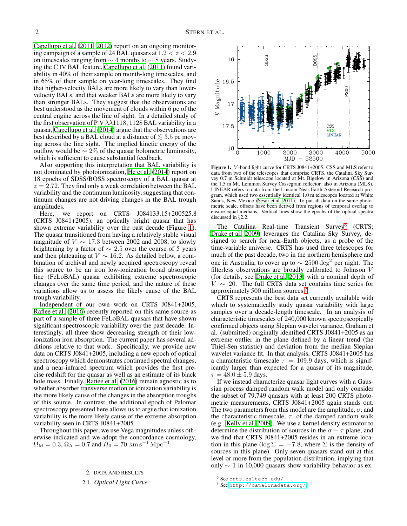[Capellupo et al. \(2011,](#page-4-19) [2012\)](#page-4-20) report on an ongoing monitoring campaign of a sample of 24 BAL quasars at  $1.2 < z < 2.9$ on timescales ranging from  $\sim$  4 months to  $\sim$  8 years. Studying the C IV BAL feature, [Capellupo et al. \(2011](#page-4-19)) found variability in 40% of their sample on month-long timescales, and in 65% of their sample on year-long timescales. They find that higher-velocity BALs are more likely to vary than lowervelocity BALs, and that weaker BALs are more likely to vary than stronger BALs. They suggest that the observations are best understood as the movement of clouds within 6 pc of the central engine across the line of sight. In a detailed study of the first observation of P V  $\lambda\lambda$ 1118, 1128 BAL variability in a quasar, [Capellupo et al.](#page-4-30) [\(2014\)](#page-4-30) argue that the observations are best described by a BAL cloud at a distance of  $\lesssim$  3.5 pc moving across the line sight. The implied kinetic energy of the outflow would be  $\sim$  2% of the quasar bolometric luminosity, which is sufficient to cause substantial feedback.

Also supporting this interpretation that BAL variability is not dominated by photoionization, [He et al. \(2014](#page-4-25)) report on 18 epochs of SDSS/BOSS spectroscopy of a BAL quasar at  $z = 2.72$ . They find only a weak correlation between the BAL variability and the continuum luminosity, suggesting that continuum changes are not driving changes in the BAL trough amplitudes.

Here, we report on CRTS J084133.15+200525.8 (CRTS J0841+2005), an optically bright quasar that has shown extreme variability over the past decade (Figure [1\)](#page-1-0). The quasar transitioned from having a relatively stable visual magnitude of  $V \sim 17.3$  between 2002 and 2008, to slowly brightening by a factor of  $\sim 2.5$  over the course of 5 years and then plateauing at  $V \sim 16.2$ . As detailed below, a combination of archival and newly acquired spectroscopy reveal this source to be an iron low-ionization broad absorption line (FeLoBAL) quasar exhibiting extreme spectroscopic changes over the same time period, and the nature of these variations allow us to assess the likely cause of the BAL trough variability.

Independent of our own work on CRTS J0841+2005, [Rafiee et al.](#page-5-8) [\(2016\)](#page-5-8) recently reported on this same source as part of a sample of three FeLoBAL quasars that have shown significant spectroscopic variability over the past decade. Interestingly, all three show decreasing strength of their lowionization iron absorption. The current paper has several additions relative to that work. Specifically, we provide new data on CRTS J0841+2005, including a new epoch of optical spectroscopy which demonstrates continued spectral changes, and a near-infrared spectrum which provides the first precise redshift for the quasar as well as an estimate of its black hole mass. Finally, [Rafiee et al.](#page-5-8) [\(2016\)](#page-5-8) remain agnostic as to whether absorber transverse motion or ionization variability is the more likely cause of the changes in the absorption troughs of this source. In contrast, the additional epoch of Palomar spectroscopy presented here allows us to argue that ionization variability is the more likely cause of the extreme absorption variability seen in CRTS J0841+2005.

Throughout this paper, we use Vega magnitudes unless otherwise indicated and we adopt the concordance cosmology,  $\Omega_{\rm M} = 0.3, \Omega_{\Lambda} = 0.7$  and  $H_0 = 70 \text{ km s}^{-1} \text{ Mpc}^{-1}$ .

### 2. DATA AND RESULTS

2.1. *Optical Light Curve*

SDSS 16 Magnitude 16.5  $17$ CSS<br>MLS<br>LINEAR 17.5 18 1000 2000 3000 4000 5000 52500  $\rm MJD$ 

<span id="page-1-0"></span>Figure 1. V -band light curve for CRTS J0841+2005. CSS and MLS refer to data from two of the telescopes that comprise CRTS, the Catalina Sky Survey 0.7 m Schmidt telescope located at Mt. Bigelow in Arizona (CSS) and the 1.5 m Mt. Lemmon Survey Cassegrain reflector, also in Arizona (MLS). LINEAR refers to data from the Lincoln Near-Earth Asteroid Research program, which used two essentially identical 1.0 m telescopes located at White Sands, New Mexico [\(Sesar et al. 2011](#page-5-9)). To put all data on the same photometric scale, offsets have been derived from regions of temporal overlap to ensure equal medians. Vertical lines show the epochs of the optical spectra discussed in §2.2.

The Catalina Real-time Transient Survey<sup>[6](#page-1-1)</sup> (CRTS; [Drake et al. 2009\)](#page-4-31) leverages the Catalina Sky Survey, designed to search for near-Earth objects, as a probe of the time-variable universe. CRTS has used three telescopes for much of the past decade, two in the northern hemisphere and one in Australia, to cover up to  $\sim 2500 \deg^2$  per night. The filterless observations are broadly calibrated to Johnson V (for details, see [Drake et al. 2013\)](#page-4-32) with a nominal depth of  $V \sim 20$ . The full CRTS data set contains time series for approximately 500 million sources.

CRTS represents the best data set currently available with which to systematically study quasar variability with large samples over a decade-length timescale. In an analysis of characteristic timescales of 240,000 known spectroscopically confirmed objects using Slepian wavelet variance, Graham et al. (submitted) originally identified CRTS J0841+2005 as an extreme outlier in the plane defined by a linear trend (the Thiel-Sen statistic) and deviation from the median Slepian wavelet variance fit. In that analysis, CRTS J0841+2005 has a characteristic timescale  $\tau = 109.9$  days, which is significantly larger than expected for a quasar of its magnitude,  $\tau = 48.0 \pm 5.9$  days.

If we instead characterize quasar light curves with a Gaussian process damped random walk model and only consider the subset of 79,749 quasars with at least 200 CRTS photometric measurements, CRTS J0841+2005 again stands out. The two parameters from this model are the amplitude,  $\sigma$ , and the characteristic timescale,  $\tau$ , of the damped random walk (e.g., [Kelly et al. 2009\)](#page-4-33). We use a kernel density estimator to determine the distribution of sources in the  $\sigma - \tau$  plane, and we find that CRTS J0841+2005 resides in an extreme location in this plane ( $\log \Sigma = -7.8$ , where  $\Sigma$  is the density of sources in this plane). Only seven quasars stand out at this level or more from the population distribution, implying that only  $\sim$  1 in 10,000 quasars show variability behavior as ex-

<sup>6</sup> See crts.caltech.edu/.

<span id="page-1-2"></span><span id="page-1-1"></span><sup>7</sup> See <http://catalinadata.org/>.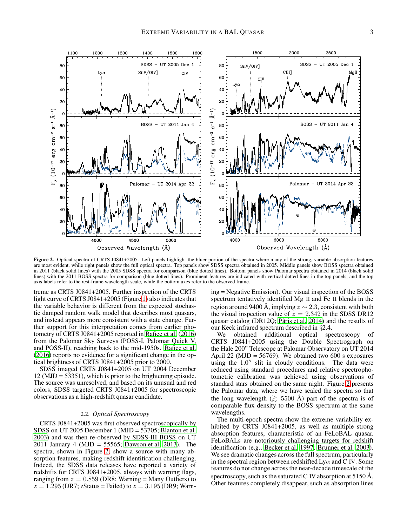

<span id="page-2-0"></span>Figure 2. Optical spectra of CRTS J0841+2005. Left panels highlight the bluer portion of the spectra where many of the strong, variable absorption features are most evident, while right panels show the full optical spectra. Top panels show SDSS spectra obtained in 2005. Middle panels show BOSS spectra obtained in 2011 (black solid lines) with the 2005 SDSS spectra for comparison (blue dotted lines). Bottom panels show Palomar spectra obtained in 2014 (black solid lines) with the 2011 BOSS spectra for comparison (blue dotted lines). Prominent features are indicated with vertical dotted lines in the top panels, and the top axis labels refer to the rest-frame wavelength scale, while the bottom axes refer to the observed frame.

treme as CRTS J0841+2005. Further inspection of the CRTS light curve of CRTS J0841+2005 (Figure [1\)](#page-1-0) also indicates that the variable behavior is different from the expected stochastic damped random walk model that describes most quasars, and instead appears more consistent with a state change. Further support for this interpretation comes from earlier photometry of CRTS J0841+2005 reported in [Rafiee et al. \(2016\)](#page-5-8) from the Palomar Sky Surveys (POSS-I, Palomar Quick V, and POSS-II), reaching back to the mid-1950s. [Rafiee et al.](#page-5-8) [\(2016](#page-5-8)) reports no evidence for a significant change in the optical brightness of CRTS J0841+2005 prior to 2000.

SDSS imaged CRTS J0841+2005 on UT 2004 December 12 (MJD = 53351), which is prior to the brightening episode. The source was unresolved, and based on its unusual and red colors, SDSS targeted CRTS J0841+2005 for spectroscopic observations as a high-redshift quasar candidate.

# 2.2. *Optical Spectroscopy*

CRTS J0841+2005 was first observed spectroscopically by SDSS on UT 2005 December 1 (MJD = 53705; [Blanton et al.](#page-4-34) [2003\)](#page-4-34) and was then re-observed by SDSS-III BOSS on UT 2011 January 4 (MJD = 55565; [Dawson et al. 2013\)](#page-4-35). The spectra, shown in Figure [2,](#page-2-0) show a source with many absorption features, making redshift identification challenging. Indeed, the SDSS data releases have reported a variety of redshifts for CRTS J0841+2005, always with warning flags, ranging from  $z = 0.859$  (DR8; Warning = Many Outliers) to  $z = 1.295$  (DR7; zStatus = Failed) to  $z = 3.195$  (DR9; Warning = Negative Emission). Our visual inspection of the BOSS spectrum tentatively identified Mg II and Fe II blends in the region around 9400 Å, implying  $z \sim 2.3$ , consistent with both the visual inspection value of  $z = 2.342$  in the SDSS DR12 quasar catalog (DR12O; Pâris et al.  $2014$ ) and the results of our Keck infrared spectrum described in §2.4.

We obtained additional optical spectroscopy of CRTS J0841+2005 using the Double Spectrograph on the Hale 200" Telescope at Palomar Observatory on UT 2014 April 22 ( $MJD = 56769$ ). We obtained two 600 s exposures using the  $1.0$ <sup>"</sup> slit in cloudy conditions. The data were reduced using standard procedures and relative spectrophotometric calibration was achieved using observations of standard stars obtained on the same night. Figure [2](#page-2-0) presents the Palomar data, where we have scaled the spectra so that the long wavelength ( $\gtrsim 5500 \text{ Å}$ ) part of the spectra is of comparable flux density to the BOSS spectrum at the same wavelengths.

The multi-epoch spectra show the extreme variability exhibited by CRTS J0841+2005, as well as multiple strong absorption features, characteristic of an FeLoBAL quasar. FeLoBALs are notoriously challenging targets for redshift identification (e.g., [Becker et al. 1997;](#page-4-36) [Brunner et al. 2003](#page-4-37)). We see dramatic changes across the full spectrum, particularly in the spectral region between redshifted  $Ly\alpha$  and C IV. Some features do not change across the near-decade timescale of the spectroscopy, such as the saturated C IV absorption at  $5150 \text{ Å}$ . Other features completely disappear, such as absorption lines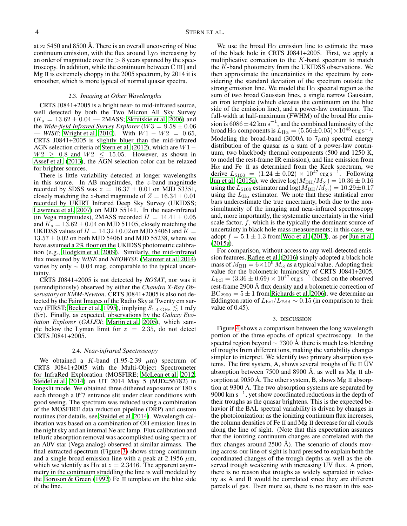at  $\approx$  5450 and 8500 Å. There is an overall uncovering of blue continuum emission, with the flux around  $Ly\alpha$  increasing by an order of magnitude over the  $> 8$  years spanned by the spectroscopy. In addition, while the continuum between C III] and Mg II is extremely choppy in the 2005 spectrum, by 2014 it is smoother, which is more typical of normal quasar spectra.

### 2.3. *Imaging at Other Wavelengths*

CRTS J0841+2005 is a bright near- to mid-infrared source, well detected by both the Two Micron All Sky Survey  $(K_s = 13.62 \pm 0.04 - 2MASS; Skrutskie et al. 2006)$  $(K_s = 13.62 \pm 0.04 - 2MASS; Skrutskie et al. 2006)$  $(K_s = 13.62 \pm 0.04 - 2MASS; Skrutskie et al. 2006)$  and the *Wide-field Infrared Survey Explorer* ( $W3 = 9.58 \pm 0.06$ )  $-$  *WISE*; [Wright et al. 2010\)](#page-5-12). With  $W1 - W2 = 0.65$ , CRTS J0841+2005 is slightly bluer than the mid-infrared AGN selection criteria of [Stern et al. \(2012\)](#page-5-13), which are W1−  $W2 \geq 0.8$  and  $W2 \leq 15.05$ . However, as shown in [Assef et al. \(2013](#page-4-38)), the AGN selection color can be relaxed for brighter sources.

There is little variability detected at longer wavelengths in this source. In AB magnitudes, the  $z$ -band magnitude recorded by SDSS was  $z = 16.37 \pm 0.01$  on MJD 53351, closely matching the z-band magnitude of  $Z = 16.34 \pm 0.01$ recorded by UKIRT Infrared Deep Sky Survey (UKIDSS; [Lawrence et al. 2007\)](#page-4-39) on MJD 55141. In the near-infrared (in Vega magnitudes), 2MASS recorded  $H = 14.41 \pm 0.05$ and  $K_s = 13.62 \pm 0.04$  on MJD 51105, closely matching the UKIDSS values of  $H = 14.32 \pm 0.02$  on MJD 54061 and  $K =$  $13.57 \pm 0.02$  on both MJD 54061 and MJD 55238, where we have assumed a 2% floor on the UKIDSS photometric calibration (e.g., [Hodgkin et al. 2009\)](#page-4-40). Similarly, the mid-infrared flux measured by *WISE* and *NEOWISE* [\(Mainzer et al. 2014\)](#page-4-41) varies by only  $\sim 0.04$  mag, comparable to the typical uncertainty.

CRTS J0841+2005 is not detected by *ROSAT*, nor was it (serendipitously) observed by either the *Chandra X-Ray Observatory* or *XMM-Newton*. CRTS J0841+2005 is also not detected by the Faint Images of the Radio Sky at Twenty cm sur-vey (FIRST; [Becker et al. 1995](#page-4-42)), implying  $S_{1.4 \text{ GHz}} \lesssim 1 \text{ mJy}$ (5σ). Finally, as expected, observations by the *Galaxy Evolution Explorer* (*GALEX*; [Martin et al. 2005\)](#page-4-43), which sample below the Lyman limit for  $z = 2.35$ , do not detect CRTS J0841+2005.

## 2.4. *Near-infrared Spectroscopy*

We obtained a K-band (1.95-2.39  $\mu$ m) spectrum of CRTS J0841+2005 with the Multi-Object Spectrometer for InfraRed Exploration (MOSFIRE; [McLean et al. 2012;](#page-5-14) [Steidel et al. 2014\)](#page-5-15) on UT 2014 May 5 (MJD=56782) in longslit mode. We obtained three dithered exposures of 180 s each through a 0".7 entrance slit under clear conditions with good seeing. The spectrum was reduced using a combination of the MOSFIRE data reduction pipeline (DRP) and custom routines (for details, see [Steidel et al. 2014\)](#page-5-15). Wavelength calibration was based on a combination of OH emission lines in the night sky and an internal Ne arc lamp. Flux calibration and telluric absorption removal was accomplished using spectra of an A0V star (Vega analog) observed at similar airmass. The final extracted spectrum (Figure [3\)](#page-4-44) shows strong continuum and a single broad emission line with a peak at 2.1956  $\mu$ m, which we identify as H $\alpha$  at  $z = 2.3446$ . The apparent asymmetry in the continuum straddling the line is well modeled by the [Boroson & Green \(1992\)](#page-4-45) Fe II template on the blue side of the line.

We use the broad  $H\alpha$  emission line to estimate the mass of the black hole in CRTS J0841+2005. First, we apply a multiplicative correction to the  $K$ -band spectrum to match the  $K$ -band photometry from the UKIDSS observations. We then approximate the uncertainties in the spectrum by considering the standard deviation of the spectrum outside the strong emission line. We model the H $\alpha$  spectral region as the sum of two broad Gaussian lines, a single narrow Gaussian, an iron template (which elevates the continuum on the blue side of the emission line), and a power-law continuum. The full-width at half-maximum (FWHM) of the broad H $\alpha$  emission is  $6086 \pm 42$  km s<sup>-1</sup>, and the combined luminosity of the broad H $\alpha$  components is  $L_{\text{H}\alpha} = (5.56 \pm 0.05) \times 10^{45} \text{ erg s}^{-1}$ . Modeling the broad-band (3000Å to  $7\mu$ m) spectral energy distribution of the quasar as a sum of a power-law continuum, two blackbody thermal components (500 and 1250 K, to model the rest-frame IR emission), and line emission from H $α$  and Fe II as determined from the Keck spectrum, we derive  $L_{5100} = (1.24 \pm 0.02) \times 10^{47} \text{ erg s}^{-1}$ . Following [Jun et al. \(2015a\)](#page-4-46), we derive  $log(M_{BH}/M_{\odot}) = 10.36 \pm 0.16$ using the  $L_{5100}$  estimator and  $\log(M_{\rm BH}/\bar{M_{\odot}}) = 10.29 \pm 0.17$ using the  $L_{\text{H}\alpha}$  estimator. We note that these statistical error bars underestimate the true uncertainty, both due to the nonsimultaneity of the imaging and near-infrared spectroscopy and, more importantly, the systematic uncertainty in the virial scale factor,  $\bar{f}$ , which is the typically the dominant source of uncertainty in black hole mass measurements; in this case, we adopt  $f = 5.1 \pm 1.3$  from [Woo et al. \(2013\)](#page-5-16), as per [Jun et al.](#page-4-46) [\(2015a\)](#page-4-46).

For comparison, without access to any well-detected emission features, [Rafiee et al.](#page-5-8) [\(2016\)](#page-5-8) simply adopted a black hole mass of  $M_{\rm BH} = 6 \times 10^9 M_{\odot}$  as a typical value. Adopting their value for the bolometric luminosity of CRTS J0841+2005,  $L_{\text{bol}} = (3.36 \pm 0.69) \times 10^{47} \text{ erg s}^{-1}$  (based on the observed rest-frame 2900 Å flux density and a bolometric correction of  $BC_{2900} = 5 \pm 1$  from [Richards et al. 2006\)](#page-5-17), we determine an Eddington ratio of  $L_{\text{bol}}/L_{\text{Edd}} \sim 0.15$  (in comparison to their value of 0.45).

#### 3. DISCUSSION

Figure [4](#page-5-18) shows a comparison between the long wavelength portion of the three epochs of optical spectroscopy. In the spectral region beyond  $\sim$  7300 Å there is much less blending of troughs from different ions, making the variability changes simpler to interpret. We identify two primary absorption systems. The first system, A, shows several troughs of Fe II UV absorption between 7500 and 8900 Å, as well as Mg  $\text{II}$  absorption at 9050 Å. The other system, B, shows Mg II absorption at  $9300 \text{ Å}$ . The two absorption systems are separated by 9000 km s<sup>-1</sup>, yet show coordinated reductions in the depth of their troughs as the quasar brightens. This is the expected behavior if the BAL spectral variability is driven by changes in the photoionization: as the ionizing continuum flux increases, the column densities of Fe II and Mg II decrease for all clouds along the line of sight. (Note that this expectation assumes that the ionizing continuum changes are correlated with the flux changes around  $2500 \text{ Å}$ ). The scenario of clouds moving across our line of sight is hard pressed to explain both the coordinated changes of the trough depths as well as the observed trough weakening with increasing UV flux. A priori, there is no reason that troughs as widely separated in velocity as A and B would be correlated since they are different parcels of gas. Even more so, there is no reason in this sce-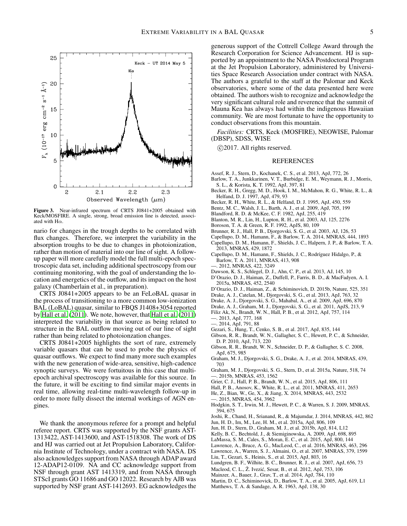

<span id="page-4-44"></span>Figure 3. Near-infrared spectrum of CRTS J0841+2005 obtained with Keck/MOSFIRE. A single, strong, broad emission line is detected, associated with  $H\alpha$ .

nario for changes in the trough depths to be correlated with flux changes. Therefore, we interpret the variability in the absorption troughs to be due to changes in photoionization, rather than motion of material into our line of sight. A followup paper will more carefully model the full multi-epoch spectroscopic data set, including additional spectroscopy from our continuing monitoring, with the goal of understanding the location and energetics of the outflow, and its impact on the host galaxy (Chamberlain et al., in preparation).

CRTS J0841+2005 appears to be an FeLoBAL quasar in the process of transitioning to a more common low-ionization BAL (LoBAL) quasar, similar to FBQS J1408+3054 reported by [Hall et al. \(2011](#page-4-29)). We note, however, that [Hall et al. \(2011\)](#page-4-29) interpreted the variability in that source as being related to structure in the BAL outflow moving out of our line of sight rather than being related to photoionzation changes.

CRTS J0841+2005 highlights the sort of rare, extremely variable quasars that can be used to probe the physics of quasar outflows. We expect to find many more such examples with the new generation of wide-area, sensitive, high-cadence synoptic surveys. We were fortuitous in this case that multiepoch archival spectroscopy was available for this source. In the future, it will be exciting to find similar major events in real time, allowing real-time multi-wavelength follow-up in order to more fully dissect the internal workings of AGN engines.

We thank the anonymous referee for a prompt and helpful referee report. CRTS was supported by the NSF grants AST-1313422, AST-1413600, and AST-1518308. The work of DS and HJ was carried out at Jet Propulsion Laboratory, California Institute of Technology, under a contract with NASA. DS also acknowledges support from NASA through ADAP award 12-ADAP12-0109. NA and CC acknowledge support from NSF through grant AST 1413319, and from NASA through STScI grants GO 11686 and GO 12022. Research by AJB was supported by NSF grant AST-1412693. EG acknowledges the generous support of the Cottrell College Award through the Research Corporation for Science Advancement. HJ is supported by an appointment to the NASA Postdoctoral Program at the Jet Propulsion Laboratory, administered by Universities Space Research Association under contract with NASA. The authors a grateful to the staff at the Palomar and Keck observatories, where some of the data presented here were obtained. The authors wish to recognize and acknowledge the very significant cultural role and reverence that the summit of Mauna Kea has always had within the indigenous Hawaiian community. We are most fortunate to have the opportunity to conduct observations from this mountain.

*Facilities:* CRTS, Keck (MOSFIRE), NEOWISE, Palomar (DBSP), SDSS, WISE

c 2017. All rights reserved.

## REFERENCES

- <span id="page-4-38"></span>Assef, R. J., Stern, D., Kochanek, C. S., et al. 2013, ApJ, 772, 26
- <span id="page-4-15"></span>Barlow, T. A., Junkkarinen, V. T., Burbidge, E. M., Weymann, R. J., Morris, S. L., & Korista, K. T. 1992, ApJ, 397, 81
- <span id="page-4-36"></span>Becker, R. H., Gregg, M. D., Hook, I. M., McMahon, R. G., White, R. L., & Helfand, D. J. 1997, ApJ, 479, 93
- <span id="page-4-42"></span>Becker, R. H., White, R. L., & Helfand, D. J. 1995, ApJ, 450, 559
- <span id="page-4-2"></span>Bentz, M. C., Walsh, J. L., Barth, A. J., et al. 2009, ApJ, 705, 199
- <span id="page-4-1"></span>Blandford, R. D. & McKee, C. F. 1982, ApJ, 255, 419
- <span id="page-4-34"></span>Blanton, M. R., Lin, H., Lupton, R. H., et al. 2003, AJ, 125, 2276
- <span id="page-4-45"></span>Boroson, T. A. & Green, R. F. 1992, ApJS, 80, 109
- <span id="page-4-37"></span>Brunner, R. J., Hall, P. B., Djorgovski, S. G., et al. 2003, AJ, 126, 53
- <span id="page-4-30"></span>Capellupo, D. M., Hamann, F., & Barlow, T. A. 2014, MNRAS, 444, 1893
- <span id="page-4-21"></span>Capellupo, D. M., Hamann, F., Shields, J. C., Halpern, J. P., & Barlow, T. A. 2013, MNRAS, 429, 1872
- <span id="page-4-19"></span>Capellupo, D. M., Hamann, F., Shields, J. C., Rodríguez Hidalgo, P., & Barlow, T. A. 2011, MNRAS, 413, 908
- <span id="page-4-20"></span>2012, MNRAS, 422, 3249
- <span id="page-4-35"></span>Dawson, K. S., Schlegel, D. J., Ahn, C. P., et al. 2013, AJ, 145, 10
- <span id="page-4-5"></span>D'Orazio, D. J., Haiman, Z., Duffell, P., Farris, B. D., & MacFadyen, A. I. 2015a, MNRAS, 452, 2540
- <span id="page-4-6"></span>D'Orazio, D. J., Haiman, Z., & Schiminovich, D. 2015b, Nature, 525, 351
- <span id="page-4-32"></span>Drake, A. J., Catelan, M., Djorgovski, S. G., et al. 2013, ApJ, 763, 32
- <span id="page-4-31"></span>Drake, A. J., Djorgovski, S. G., Mahabal, A., et al. 2009, ApJ, 696, 870
- <span id="page-4-11"></span>Drake, A. J., Graham, M. J., Djorgovski, S. G., et al. 2011, ApJS, 213, 9
- <span id="page-4-22"></span>Filiz Ak, N., Brandt, W. N., Hall, P. B., et al. 2012, ApJ, 757, 114
- <span id="page-4-23"></span>—. 2013, ApJ, 777, 168
- <span id="page-4-24"></span>—. 2014, ApJ, 791, 88
- <span id="page-4-14"></span>Gezari, S., Hung, T., Cenko, S. B., et al. 2017, ApJ, 835, 144
- <span id="page-4-18"></span>Gibson, R. R., Brandt, W. N., Gallagher, S. C., Hewett, P. C., & Schneider, D. P. 2010, ApJ, 713, 220
- <span id="page-4-17"></span>Gibson, R. R., Brandt, W. N., Schneider, D. P., & Gallagher, S. C. 2008, ApJ, 675, 985
- <span id="page-4-4"></span>Graham, M. J., Djorgovski, S. G., Drake, A. J., et al. 2014, MNRAS, 439, 703
- <span id="page-4-7"></span>Graham, M. J., Djorgovski, S. G., Stern, D., et al. 2015a, Nature, 518, 74 —. 2015b, MNRAS, 453, 1562
- <span id="page-4-28"></span><span id="page-4-8"></span>Grier, C. J., Hall, P. B., Brandt, W. N., et al. 2015, ApJ, 806, 111
- <span id="page-4-29"></span>Hall, P. B., Anosov, K., White, R. L., et al. 2011, MNRAS, 411, 2653
- <span id="page-4-25"></span>He, Z., Bian, W., Ge, X., & Jiang, X. 2014, MNRAS, 443, 2532
- —. 2015, MNRAS, 454, 3962
- <span id="page-4-40"></span><span id="page-4-26"></span>Hodgkin, S. T., Irwin, M. J., Hewett, P. C., & Warren, S. J. 2009, MNRAS, 394, 675
- <span id="page-4-27"></span>Joshi, R., Chand, H., Srianand, R., & Majumdar, J. 2014, MNRAS, 442, 862
- <span id="page-4-46"></span>Jun, H. D., Im, M., Lee, H. M., et al. 2015a, ApJ, 806, 109
- <span id="page-4-9"></span>Jun, H. D., Stern, D., Graham, M. J., et al. 2015b, ApJ, 814, L12
- <span id="page-4-33"></span>Kelly, B. C., Bechtold, J., & Siemiginowska, A. 2009, ApJ, 698, 895
- <span id="page-4-13"></span>LaMassa, S. M., Cales, S., Moran, E. C., et al. 2015, ApJ, 800, 144
- <span id="page-4-12"></span>Lawrence, A., Bruce, A. G., MacLeod, C., et al. 2016, MNRAS, 463, 296
- <span id="page-4-39"></span>Lawrence, A., Warren, S. J., Almaini, O., et al. 2007, MNRAS, 379, 1599
- <span id="page-4-10"></span>Liu, T., Gezari, S., Heinis, S., et al. 2015, ApJ, 803, 16
- <span id="page-4-16"></span>Lundgren, B. F., Wilhite, B. C., Brunner, R. J., et al. 2007, ApJ, 656, 73
- <span id="page-4-3"></span>Macleod, C. L., Ž. Ivezić, Sesar, B., et al. 2012, ApJ, 753, 106
- <span id="page-4-41"></span>Mainzer, A., Bauer, J., Grav, T., et al. 2014, ApJ, 784, 110
- <span id="page-4-43"></span>Martin, D. C., Schiminovick, D., Barlow, T. A., et al. 2005, ApJ, 619, L1
- <span id="page-4-0"></span>Matthews, T. A. & Sandage, A. R. 1963, ApJ, 138, 30